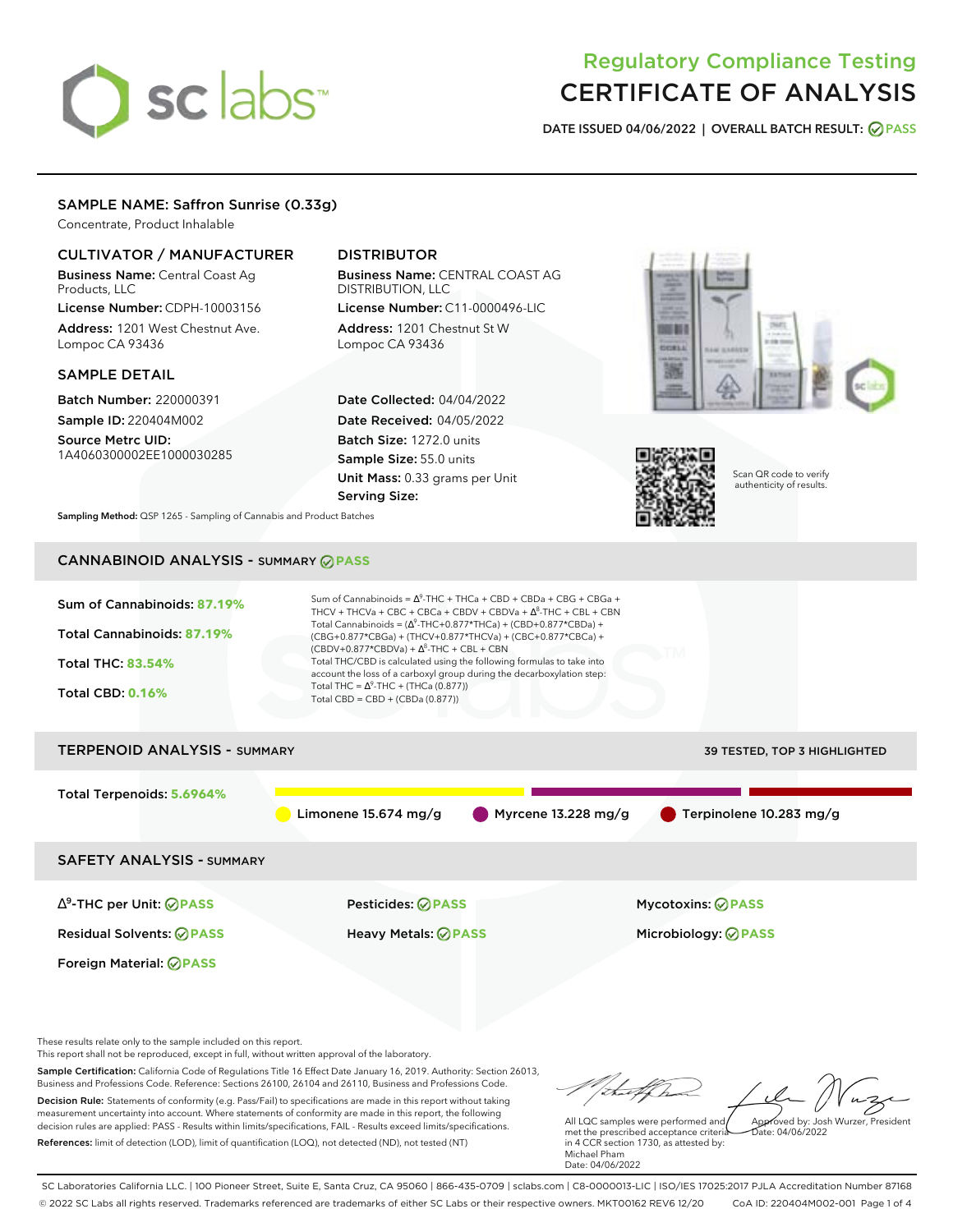# sclabs<sup>\*</sup>

# Regulatory Compliance Testing CERTIFICATE OF ANALYSIS

**DATE ISSUED 04/06/2022 | OVERALL BATCH RESULT: PASS**

# SAMPLE NAME: Saffron Sunrise (0.33g)

Concentrate, Product Inhalable

# CULTIVATOR / MANUFACTURER

Business Name: Central Coast Ag Products, LLC

License Number: CDPH-10003156 Address: 1201 West Chestnut Ave. Lompoc CA 93436

## SAMPLE DETAIL

Batch Number: 220000391 Sample ID: 220404M002

Source Metrc UID: 1A4060300002EE1000030285

# DISTRIBUTOR

Business Name: CENTRAL COAST AG DISTRIBUTION, LLC License Number: C11-0000496-LIC

Address: 1201 Chestnut St W Lompoc CA 93436

Date Collected: 04/04/2022 Date Received: 04/05/2022 Batch Size: 1272.0 units Sample Size: 55.0 units Unit Mass: 0.33 grams per Unit Serving Size:





Scan QR code to verify authenticity of results.

**Sampling Method:** QSP 1265 - Sampling of Cannabis and Product Batches

# CANNABINOID ANALYSIS - SUMMARY **PASS**



This report shall not be reproduced, except in full, without written approval of the laboratory.

Sample Certification: California Code of Regulations Title 16 Effect Date January 16, 2019. Authority: Section 26013, Business and Professions Code. Reference: Sections 26100, 26104 and 26110, Business and Professions Code. Decision Rule: Statements of conformity (e.g. Pass/Fail) to specifications are made in this report without taking measurement uncertainty into account. Where statements of conformity are made in this report, the following decision rules are applied: PASS - Results within limits/specifications, FAIL - Results exceed limits/specifications.

References: limit of detection (LOD), limit of quantification (LOQ), not detected (ND), not tested (NT)

All LQC samples were performed and Approved by: Josh Wurzer, President  $ate: 04/06/2022$ 

met the prescribed acceptance criteria in 4 CCR section 1730, as attested by: Michael Pham Date: 04/06/2022

SC Laboratories California LLC. | 100 Pioneer Street, Suite E, Santa Cruz, CA 95060 | 866-435-0709 | sclabs.com | C8-0000013-LIC | ISO/IES 17025:2017 PJLA Accreditation Number 87168 © 2022 SC Labs all rights reserved. Trademarks referenced are trademarks of either SC Labs or their respective owners. MKT00162 REV6 12/20 CoA ID: 220404M002-001 Page 1 of 4